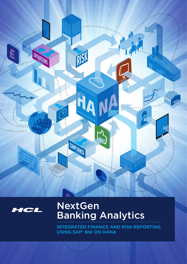



# **NextGen Banking Analytics**

INTEGRATED FINANCE AND RISK REPORTING **USING SAP<sup>®</sup> BW ON HANA**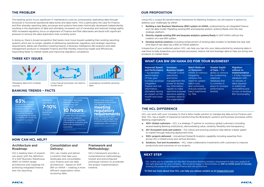#### **THE PROBLEM**

#### **THREE KEY ISSUES**



#### **HOW CAN HCL HELP?**

#### **OUR PROPOSITION**

#### **WHAT CAN BW ON HANA DO FOR YOUR BUSINESS?**

**BANKING TRENDS – FACTS**

#### **NEXT STEP**

HCL invites you to undertake our free Next Generation Banking Analytics Assessment to help your analysis of the right approach for your company. We would be happy to demonstrate our BW on HANA proof of concept, showing the power of an integrated finance and risk architecture.

To find out more about how HCL can help you please contact us at hcleas@hcl.com



The banking sector incurs significant IT maintenance costs by unnecessarily replicating data through divisional or functional operational data stores and data marts. This is particularly the case for Finance and Risk whereby reporting data, processes and systems have been historically developed independently, resulting in the duplication of data and ultimately increased cost of ownership and reduced change agility. With increased regulatory focus on alignment of Finance and Risk data banks are faced with significant pressure to remove the data duplication that currently exists.

- 1. Building a new Business Warehouse (BW) system on HANA, underpinned by an integrated finance and risk data model. Migrating existing BW and bespoke analytic systems/feeds onto the new strategic platform.
- 2. Directly migrate existing BW and bespoke analytics systems/feeds to SAP HANA without the creation of a new BW system.
- 3. Develop tactical solutions (including enhancement of existing data models) to facilitate the near realtime feed of raw data into a BW on HANA platform.

In doing so, there is broad recognition that banks must move toward updating their existing reporting systems which are no longer capable of addressing operational, regulatory and strategic reporting requirements. Banks are therefore investing heavily in Business Intelligence (BI) analytics and data management products to integrate Finance and Risk thereby improving insight and efficiencies, responding faster to market needs and improving regulatory compliance.

Using HCL's unique BI transformation framework for Banking Analytics, we will explore 3 options to address your challenges by either:

> **Migration** without reimplementation – A fully migrated database with no reloads of data required or additional remodelling and no loss of existing BW functionality.



Irrespective of your preferred option, HCL can help you tap into your data potential by analysing data in real-time to help streamline your business processes, reduce risk and leverage data to help you bring new products to market faster.



#### Architecture and Roadmap:

HCL's leading team of experts can assist with the definition of a SAP Business Warehouse (BW) on HANA target architecture and roadmap for achieving integrated finance and risk reporting.

#### Consolidation and Delivery:

HCL can create and deliver a solution that take your landscape and consolidates your finance and risk data architecture – based on SAP BW on HANA – creating a more efficient organisation when accessing data.

#### Framework and Methodology:

HCL's framework provides a comprehensive methodology, toolset and preconfigured prototype solution to accelerate the project implementation timeline.

Improved Speed and Performance – Accelerated performance of how your business accesses integrated finance and risk information, ultimately having an impact on the month end close cycle. Increases executives and senior decisions adding business value to the organisation.

#### Business Insight – Provide C-level management the power to access key information rapidly to make or Removed – HANA in-memory frequently

Batch Reduced

real-time business batch load times removes the need for system batch runs, and commonly reduces external by 75%.

Greater Depth of Data – The ability to remove the underlining relational database that is currently in place to increase performance tenfold.

#### **THE HCL DIFFERENCE**

HCL can work with your company to find a tailor-made solution to manage big data across Finance and Risk. HCL has a wealth of experience transforming the BI/analytic systems and business processes within Banking organisations:

- a. 450+ Global customers HCL is a strategic IT partner to numerous global customers (including several leading Banking institutions), demonstrating value, certainty, flexibility and transparency.
- b. 20+ Ecosystem tools and systems Our robust and evolving solutions help deliver a faster speed to market through reducing deployment time.
- c. 300+ projects delivered Unmatched Global BI Analytics capability including expertise from across HCL's infrastructure and vertical domains.
- d. Solutions, Tool and Accelerators HCL make collaborative investments with customers to improve productivity and outcomes on our projects.



Managing data from multiple sources

#### Long manual processes can lead to human error



Leveraging constantly growing data